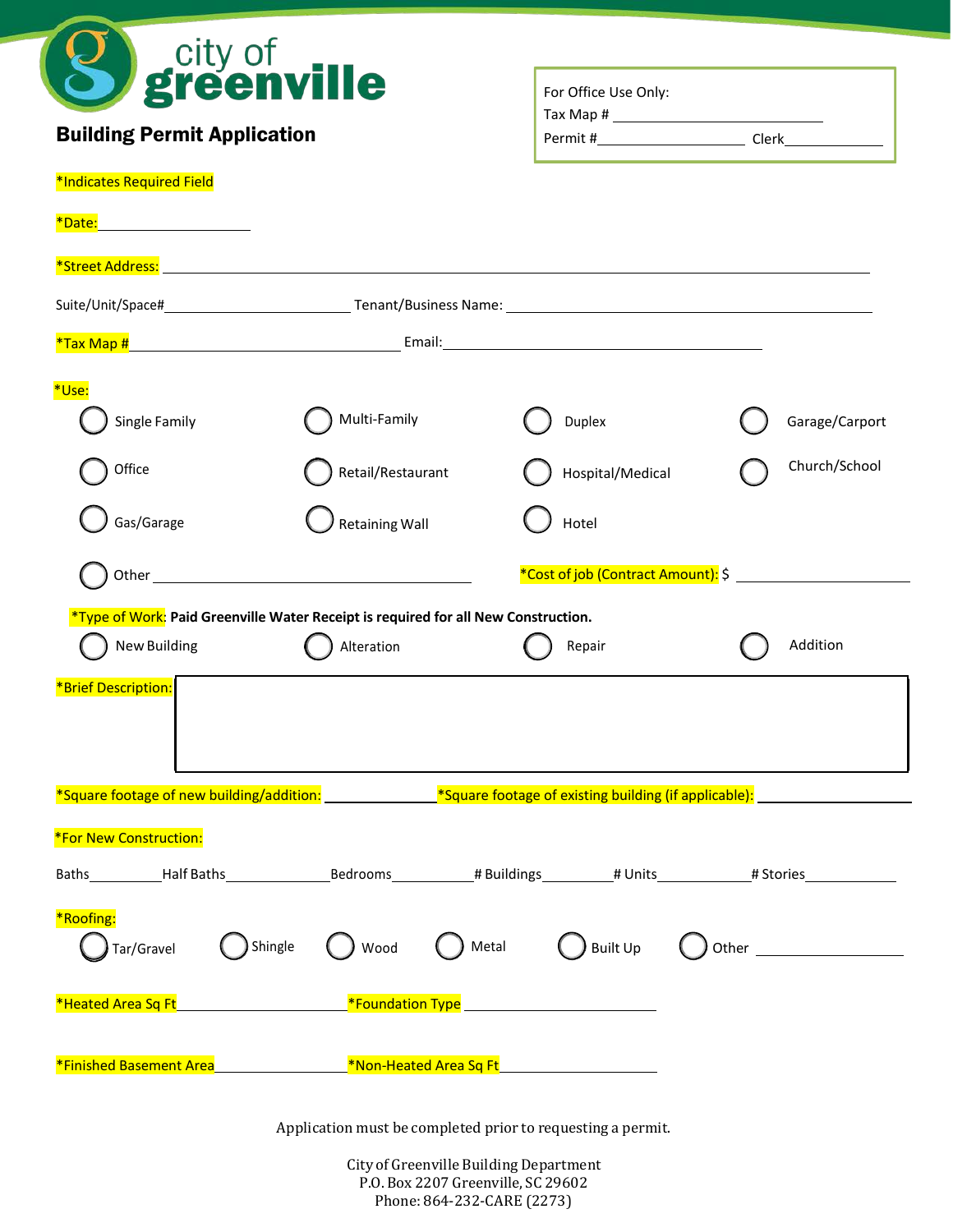

# Building Permit Application

| For Office Use Only: |       |
|----------------------|-------|
| Tax Map #            |       |
| Permit #             | Clerk |

#### \*Indicates Required Field

| *Date:<br><u> 1989 - Johann Barbara, martxa alemaniar a</u>                                                                             |                                                                           |                                    |                |
|-----------------------------------------------------------------------------------------------------------------------------------------|---------------------------------------------------------------------------|------------------------------------|----------------|
|                                                                                                                                         |                                                                           |                                    |                |
|                                                                                                                                         |                                                                           |                                    |                |
|                                                                                                                                         |                                                                           |                                    |                |
| *Use:                                                                                                                                   |                                                                           |                                    |                |
| Single Family                                                                                                                           | Multi-Family                                                              | Duplex                             | Garage/Carport |
| Office                                                                                                                                  | Retail/Restaurant                                                         | Hospital/Medical                   | Church/School  |
| Gas/Garage                                                                                                                              | <b>Retaining Wall</b>                                                     | Hotel                              |                |
|                                                                                                                                         |                                                                           | *Cost of job (Contract Amount): \$ |                |
| *Type of Work: Paid Greenville Water Receipt is required for all New Construction.                                                      |                                                                           |                                    |                |
| New Building                                                                                                                            | Alteration                                                                | Repair                             | Addition       |
| *Brief Description:                                                                                                                     |                                                                           |                                    |                |
| *Square footage of new building/addition: ________________*Square footage of existing building (if applicable): _______________________ |                                                                           |                                    |                |
| *For New Construction:                                                                                                                  |                                                                           |                                    |                |
| Baths__________Half Baths______________________Bedrooms____________# Buildings__________# Units____________# Stories_                   |                                                                           |                                    |                |
| *Roofing:<br>Shingle<br>Tar/Gravel                                                                                                      | Metal<br>Wood                                                             | Built Up                           |                |
| *Heated Area Sq Ft_____________________________*Foundation Type _________________                                                       |                                                                           |                                    |                |
| *Finished Basement Area                                                                                                                 | <b>Example 2018</b> The Mon-Heated Area Sq Ft <sub>1</sub> 2022 2023 2024 |                                    |                |
|                                                                                                                                         | Application must be completed prior to requesting a permit.               |                                    |                |

City of Greenville Building Department P.O. Box 2207 Greenville, SC 29602 Phone: 864-232-CARE (2273)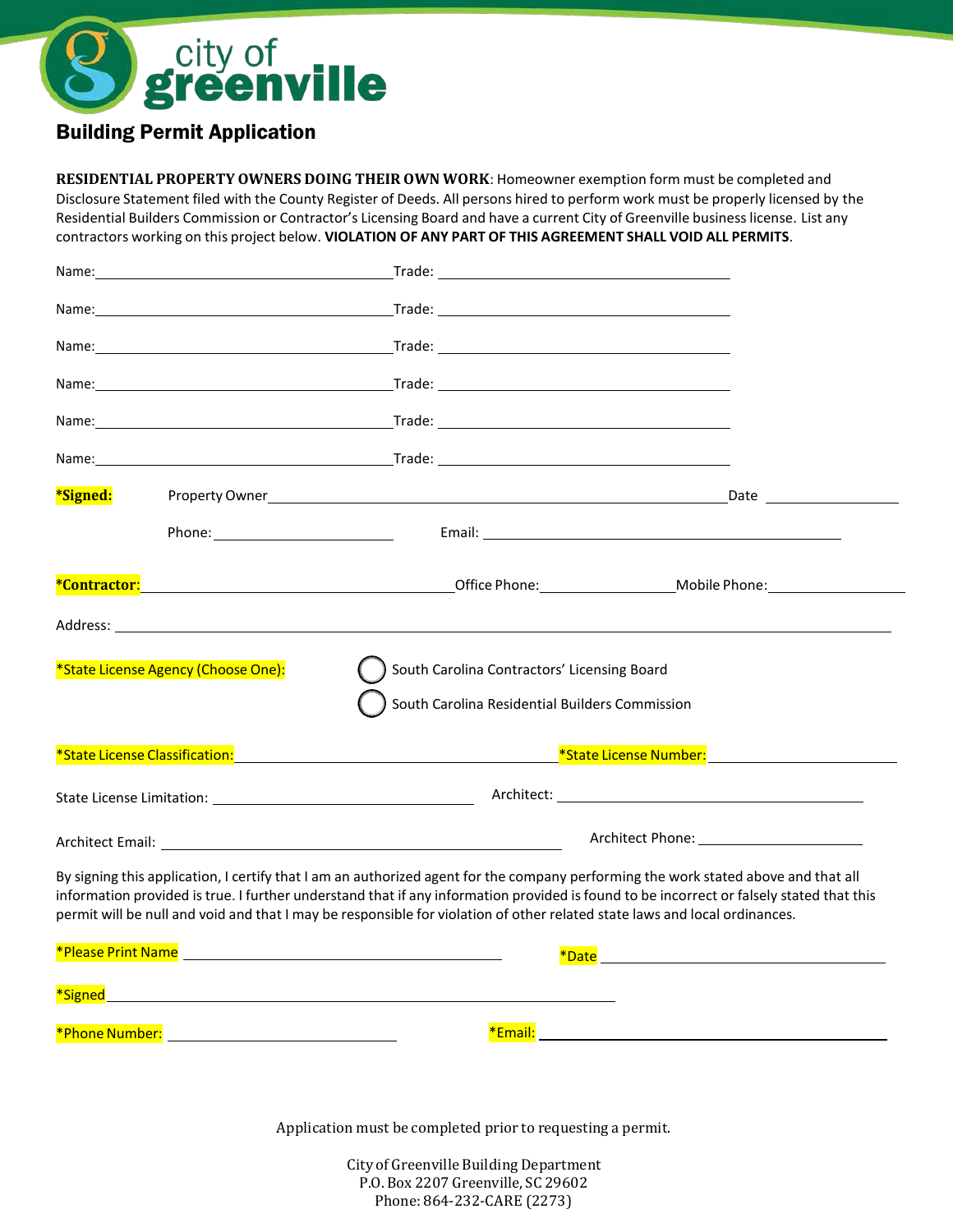# city of<br>**greenville**

## Building Permit Application

**RESIDENTIAL PROPERTY OWNERS DOING THEIR OWN WORK**: Homeowner exemption form must be completed and Disclosure Statement filed with the County Register of Deeds. All persons hired to perform work must be properly licensed by the Residential Builders Commission or Contractor's Licensing Board and have a current City of Greenville business license. List any contractors working on this project below. **VIOLATION OF ANY PART OF THIS AGREEMENT SHALL VOID ALL PERMITS**.

| *Signed:<br>*State License Agency (Choose One):<br>South Carolina Contractors' Licensing Board<br>South Carolina Residential Builders Commission<br>By signing this application, I certify that I am an authorized agent for the company performing the work stated above and that all<br>information provided is true. I further understand that if any information provided is found to be incorrect or falsely stated that this<br>permit will be null and void and that I may be responsible for violation of other related state laws and local ordinances. | Name: | <u>in the contract of the contract of the contract of the contract of the contract of the contract of the contract of the contract of the contract of the contract of the contract of the contract of the contract of the contra</u> |  |
|------------------------------------------------------------------------------------------------------------------------------------------------------------------------------------------------------------------------------------------------------------------------------------------------------------------------------------------------------------------------------------------------------------------------------------------------------------------------------------------------------------------------------------------------------------------|-------|--------------------------------------------------------------------------------------------------------------------------------------------------------------------------------------------------------------------------------------|--|
|                                                                                                                                                                                                                                                                                                                                                                                                                                                                                                                                                                  |       |                                                                                                                                                                                                                                      |  |
|                                                                                                                                                                                                                                                                                                                                                                                                                                                                                                                                                                  |       |                                                                                                                                                                                                                                      |  |
|                                                                                                                                                                                                                                                                                                                                                                                                                                                                                                                                                                  |       |                                                                                                                                                                                                                                      |  |
|                                                                                                                                                                                                                                                                                                                                                                                                                                                                                                                                                                  |       |                                                                                                                                                                                                                                      |  |
|                                                                                                                                                                                                                                                                                                                                                                                                                                                                                                                                                                  |       |                                                                                                                                                                                                                                      |  |
|                                                                                                                                                                                                                                                                                                                                                                                                                                                                                                                                                                  |       |                                                                                                                                                                                                                                      |  |
|                                                                                                                                                                                                                                                                                                                                                                                                                                                                                                                                                                  |       |                                                                                                                                                                                                                                      |  |
|                                                                                                                                                                                                                                                                                                                                                                                                                                                                                                                                                                  |       |                                                                                                                                                                                                                                      |  |
|                                                                                                                                                                                                                                                                                                                                                                                                                                                                                                                                                                  |       |                                                                                                                                                                                                                                      |  |
|                                                                                                                                                                                                                                                                                                                                                                                                                                                                                                                                                                  |       |                                                                                                                                                                                                                                      |  |
|                                                                                                                                                                                                                                                                                                                                                                                                                                                                                                                                                                  |       |                                                                                                                                                                                                                                      |  |
|                                                                                                                                                                                                                                                                                                                                                                                                                                                                                                                                                                  |       |                                                                                                                                                                                                                                      |  |
|                                                                                                                                                                                                                                                                                                                                                                                                                                                                                                                                                                  |       |                                                                                                                                                                                                                                      |  |
|                                                                                                                                                                                                                                                                                                                                                                                                                                                                                                                                                                  |       |                                                                                                                                                                                                                                      |  |
|                                                                                                                                                                                                                                                                                                                                                                                                                                                                                                                                                                  |       |                                                                                                                                                                                                                                      |  |
|                                                                                                                                                                                                                                                                                                                                                                                                                                                                                                                                                                  |       |                                                                                                                                                                                                                                      |  |
|                                                                                                                                                                                                                                                                                                                                                                                                                                                                                                                                                                  |       |                                                                                                                                                                                                                                      |  |

Application must be completed prior to requesting a permit.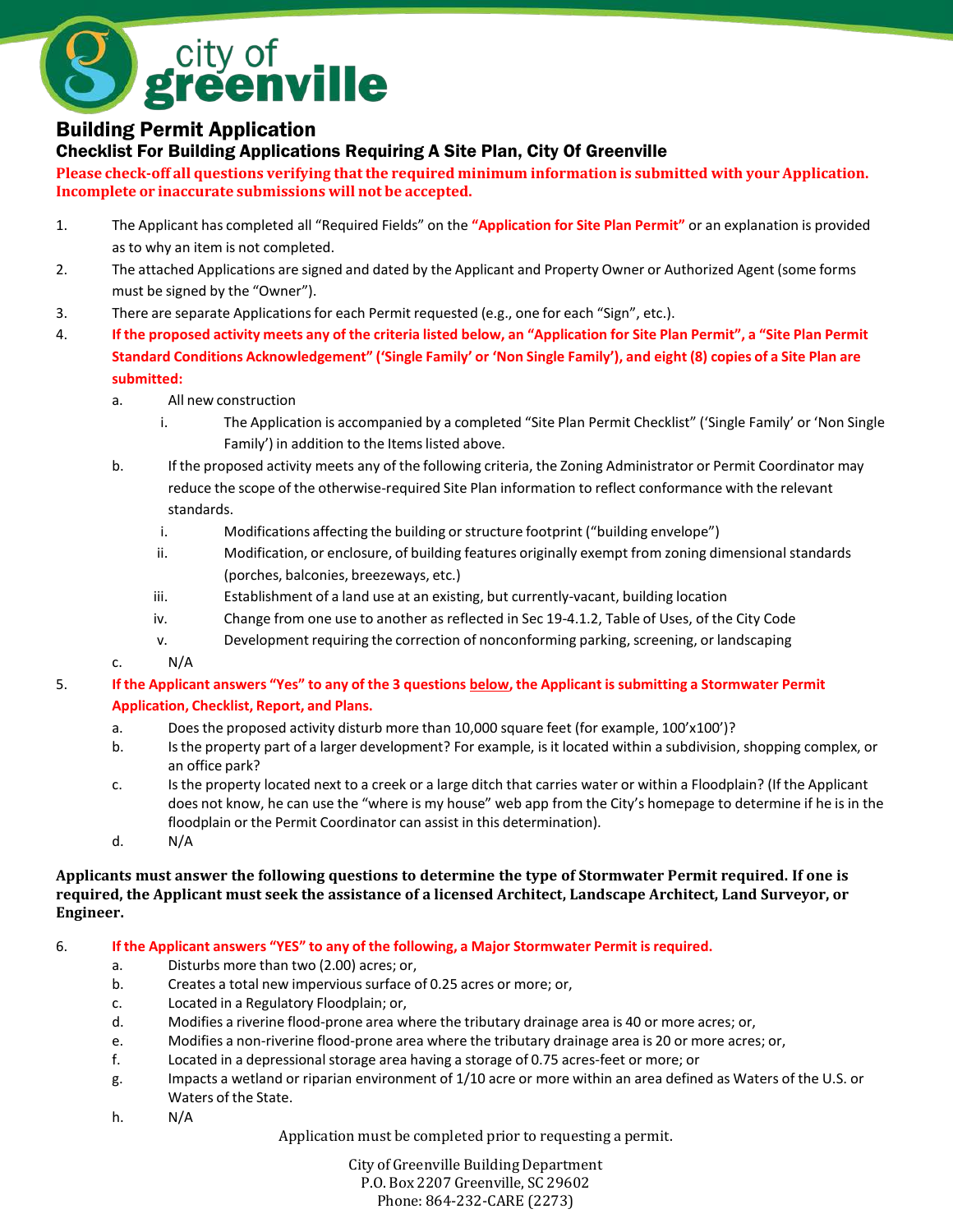

### Building Permit Application

Checklist For Building Applications Requiring A Site Plan, City Of Greenville

**Please check-off all questions verifying thatthe required minimum information is submitted with your Application. Incomplete or inaccurate submissions will not be accepted.**

- 1. The Applicant has completed all "Required Fields" on the **"Application for Site Plan Permit"** or an explanation is provided as to why an item is not completed.
- 2. The attached Applications are signed and dated by the Applicant and Property Owner or Authorized Agent (some forms must be signed by the "Owner").
- 3. There are separate Applicationsfor each Permit requested (e.g., one for each "Sign", etc.).
- 4. If the proposed activity meets any of the criteria listed below, an "Application for Site Plan Permit", a "Site Plan Permit **Standard Conditions Acknowledgement" ('Single Family' or 'Non Single Family'), and eight (8) copies of a Site Plan are submitted:**
	- a. All new construction
		- i. The Application is accompanied by a completed "Site Plan Permit Checklist" ('Single Family' or 'Non Single Family') in addition to the Items listed above.
	- b. If the proposed activity meets any of the following criteria, the Zoning Administrator or Permit Coordinator may reduce the scope of the otherwise-required Site Plan information to reflect conformance with the relevant standards.
		- i. Modifications affecting the building or structure footprint ("building envelope")
		- ii. Modification, or enclosure, of building features originally exempt from zoning dimensionalstandards (porches, balconies, breezeways, etc.)
		- iii. Establishment of a land use at an existing, but currently-vacant, building location
		- iv. Change from one use to another as reflected in Sec 19-4.1.2, Table of Uses, of the City Code
		- v. Development requiring the correction of nonconforming parking, screening, or landscaping
	- c. N/A

#### 5. **If the Applicant answers "Yes" to any of the 3 questions below, the Applicant is submitting a Stormwater Permit Application, Checklist, Report, and Plans.**

- a. Does the proposed activity disturb more than 10,000 square feet (for example, 100'x100')?
- b. Isthe property part of a larger development? For example, isit located within a subdivision, shopping complex, or an office park?
- c. Is the property located next to a creek or a large ditch that carries water or within a Floodplain? (If the Applicant does not know, he can use the "where is my house" web app from the City's homepage to determine if he is in the floodplain or the Permit Coordinator can assist in this determination).
- d. N/A

#### Applicants must answer the following questions to determine the type of Stormwater Permit required. If one is **required, the Applicant must seek the assistance of a licensed Architect, Landscape Architect, Land Surveyor, or Engineer.**

#### 6. **If the Applicant answers "YES" to any of the following, a Major Stormwater Permit isrequired.**

- a. Disturbs more than two (2.00) acres; or,
- b. Creates a total new impervious surface of 0.25 acres or more; or,
- c. Located in a Regulatory Floodplain; or,
- d. Modifies a riverine flood-prone area where the tributary drainage area is 40 or more acres; or,
- e. Modifies a non-riverine flood-prone area where the tributary drainage area is 20 or more acres; or,
- f. Located in a depressional storage area having a storage of 0.75 acres-feet or more; or
- g. Impacts a wetland or riparian environment of 1/10 acre or more within an area defined as Waters of the U.S. or Waters of the State.
- h. N/A

Application must be completed prior to requesting a permit.

City of Greenville Building Department P.O. Box 2207 Greenville, SC 29602 Phone: 864-232-CARE (2273)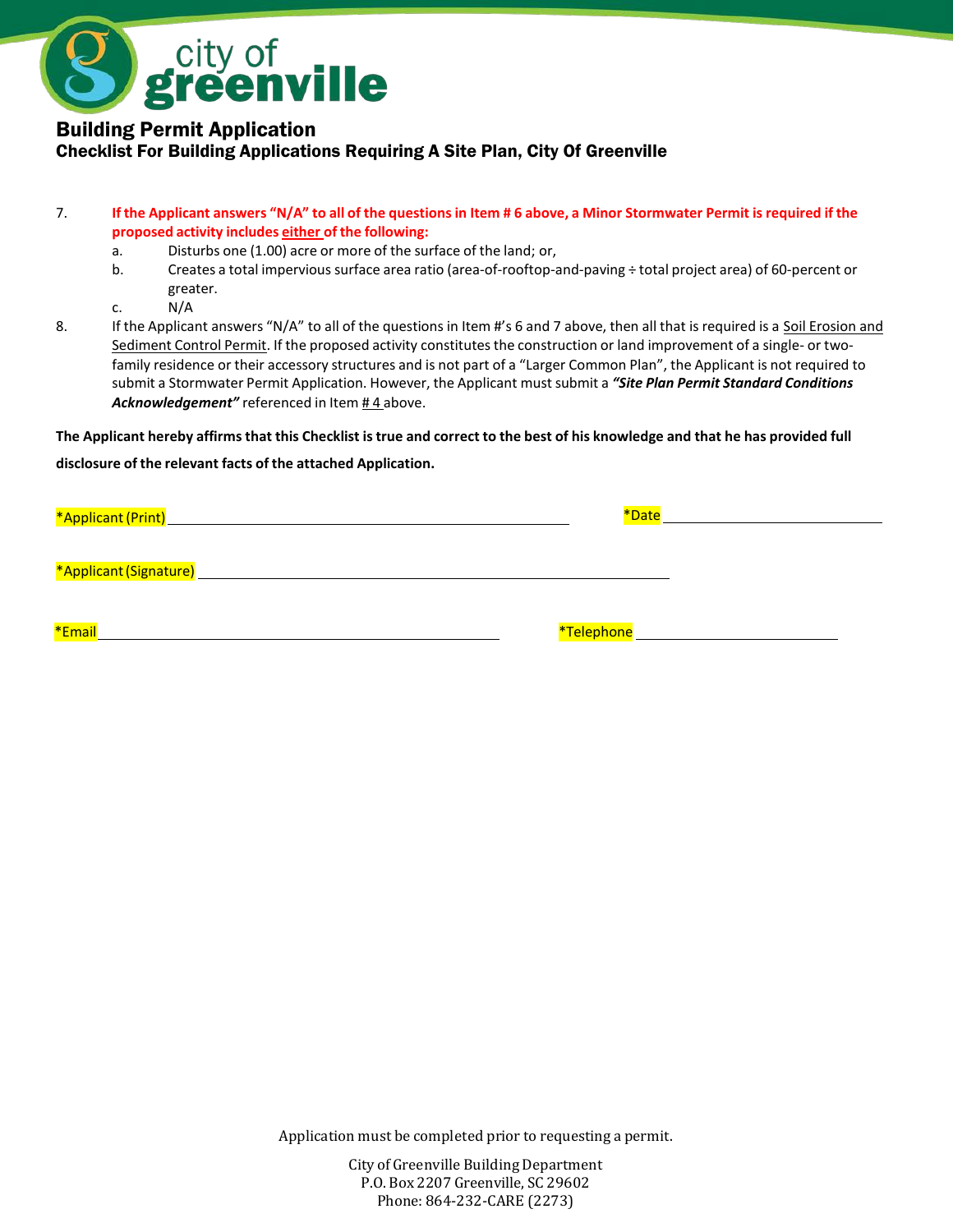

#### Building Permit Application Checklist For Building Applications Requiring A Site Plan, City Of Greenville

#### 7. If the Applicant answers "N/A" to all of the questions in Item # 6 above, a Minor Stormwater Permit is required if the **proposed activity includes either of the following:**

- a. Disturbs one (1.00) acre or more of the surface of the land; or,
- b. Creates a total impervious surface area ratio (area-of-rooftop-and-paving ÷ total project area) of 60-percent or greater.

c. N/A

8. If the Applicant answers "N/A" to all of the questions in Item #'s 6 and 7 above, then all that is required is a Soil Erosion and Sediment Control Permit. If the proposed activity constitutes the construction or land improvement of a single- or twofamily residence or their accessory structures and is not part of a "Larger Common Plan", the Applicant is not required to submit a Stormwater Permit Application. However, the Applicant must submit a *"Site Plan Permit Standard Conditions* Acknowledgement" referenced in Item #4 above.

**The Applicant hereby affirms that this Checklist istrue and correct to the best of his knowledge and that he has provided full disclosure of the relevant facts of the attached Application.**

|                          | *Date |  |
|--------------------------|-------|--|
| *Applicant (Signature) _ |       |  |
| *Email                   |       |  |

Application must be completed prior to requesting a permit.

City of Greenville Building Department P.O. Box 2207 Greenville, SC 29602 Phone: 864-232-CARE (2273)